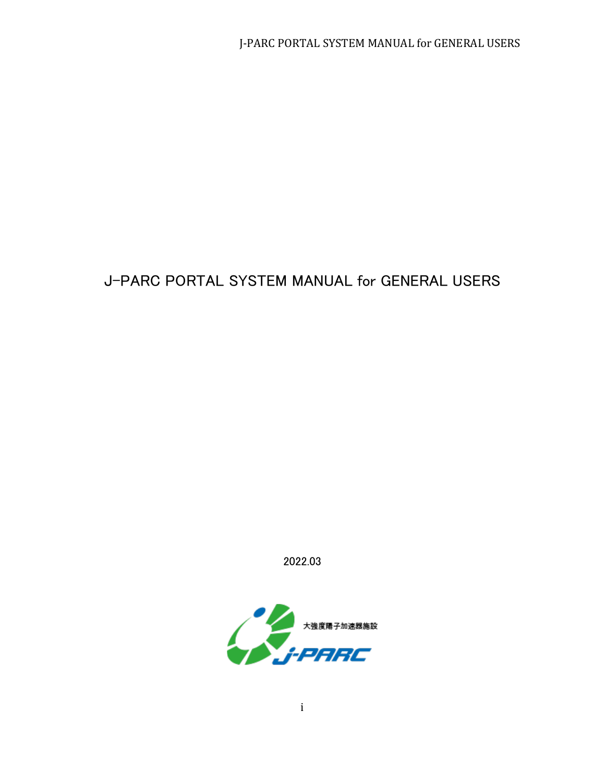2022.03

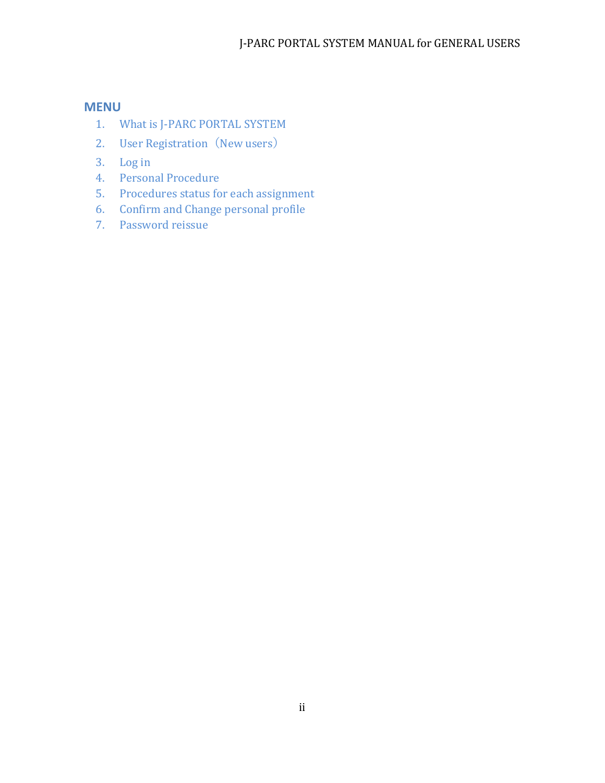### **MENU**

- 1. What is J-PARC PORTAL SYSTEM
- 2. User Registration (New users)
- 3. Log in
- 4. Personal Procedure
- 5. Procedures status for each assignment
- 6. Confirm and Change personal profile
- 7. Password reissue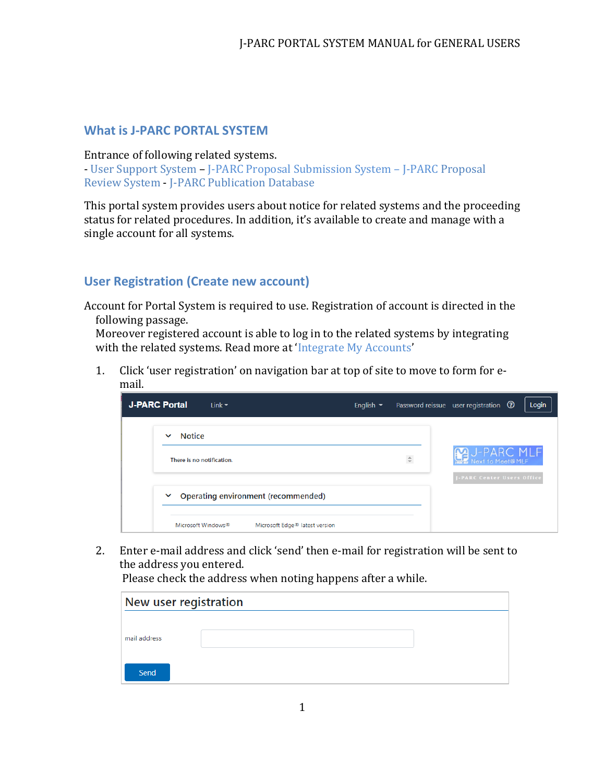### **What is J-PARC PORTAL SYSTEM**

#### Entrance of following related systems.

- [User Support](https://jus.j-parc.jp/) System – J-PARC Proposal Submission System – J-PARC [Proposal](https://jpms.j-parc.jp/j-pas/)  [Review](https://jpms.j-parc.jp/j-pas/) System - [J-PARC Publication Database](https://jpd.j-parc.jp/pds/)

This portal system provides users about notice for related systems and the proceeding status for related procedures. In addition, it's available to create and manage with a single account for all systems.

# **User Registration (Create new account)**

Account for Portal System is required to use. Registration of account is directed in the following passage.

Moreover registered account is able to log in to the related systems by integrating with the related systems. Read more at 'Integrate My Accounts'

1. Click 'user registration' on navigation bar at top of site to move to form for email.

| <b>J-PARC Portal</b><br>Link $\blacktriangledown$ |                                                                    | English $\blacktriangleright$ |                                                                | Password reissue user registration $\, \circledR \,$<br>Login |
|---------------------------------------------------|--------------------------------------------------------------------|-------------------------------|----------------------------------------------------------------|---------------------------------------------------------------|
| <b>Notice</b><br>$\checkmark$                     |                                                                    |                               |                                                                |                                                               |
| There is no notification.                         |                                                                    |                               | $\stackrel{\scriptscriptstyle \Delta}{\scriptscriptstyle \mp}$ | <b>M</b> U-PARC MLF                                           |
| $\checkmark$                                      | Operating environment (recommended)                                |                               |                                                                | <b>J-PARC Center Users Office</b>                             |
| Microsoft Windows <sup>®</sup>                    | Microsoft Edge <sup>®</sup> latest version<br>$\sim$ $\sim$ $\sim$ |                               |                                                                |                                                               |

2. Enter e-mail address and click 'send' then e-mail for registration will be sent to the address you entered.

Please check the address when noting happens after a while.

| New user registration |  |
|-----------------------|--|
|                       |  |
| mail address          |  |
| Send                  |  |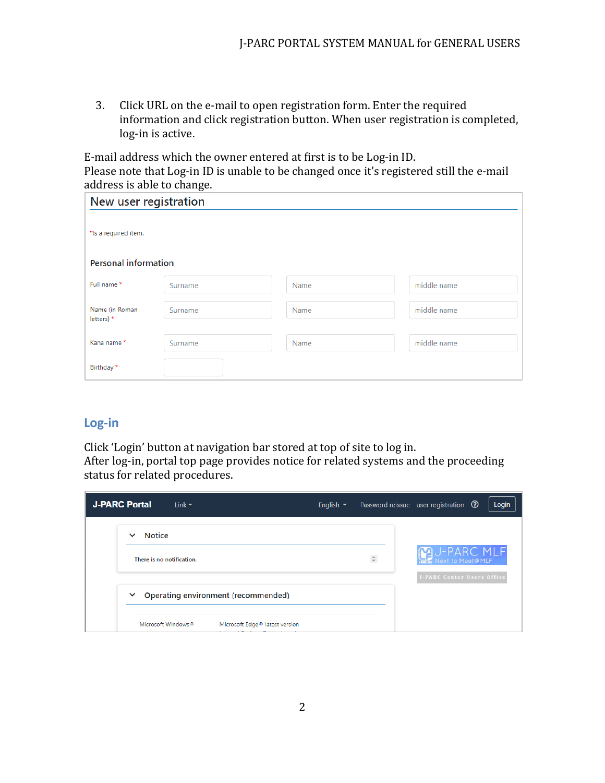3. Click URL on the e-mail to open registration form. Enter the required information and click registration button. When user registration is completed, log-in is active.

E-mail address which the owner entered at first is to be Log-in ID. Please note that Log-in ID is unable to be changed once it's registered still the e-mail address is able to change.

| New user registration        |         |      |             |
|------------------------------|---------|------|-------------|
| *Is a required item.         |         |      |             |
| <b>Personal information</b>  |         |      |             |
| Full name *                  | Surname | Name | middle name |
| Name (in Roman<br>letters) * | Surname | Name | middle name |
| Kana name *                  | Surname | Name | middle name |
| Birthday *                   |         |      |             |

# **Log-in**

Click 'Login' button at navigation bar stored at top of site to log in. After log-in, portal top page provides notice for related systems and the proceeding status for related procedures.

| <b>J-PARC Portal</b> | Link $\blacktriangledown$      |                                            | English $\blacktriangleright$ |              | Password reissue user registration <sup>(2)</sup><br>Login |
|----------------------|--------------------------------|--------------------------------------------|-------------------------------|--------------|------------------------------------------------------------|
|                      | <b>Notice</b><br>$\checkmark$  |                                            |                               |              |                                                            |
|                      | There is no notification.      |                                            |                               | $\hat{\div}$ | <b>MU-PARC MLF</b>                                         |
|                      | $\checkmark$                   | Operating environment (recommended)        |                               |              | <b>J-PARC Center Users Office</b>                          |
|                      | Microsoft Windows <sup>®</sup> | Microsoft Edge <sup>®</sup> latest version |                               |              |                                                            |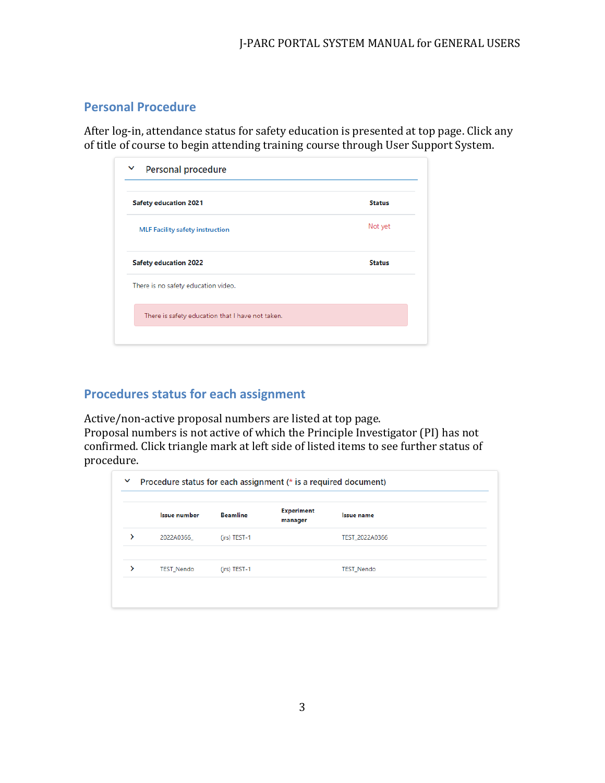# **Personal Procedure**

After log-in, attendance status for safety education is presented at top page. Click any of title of course to begin attending training course through User Support System.

| <b>Safety education 2021</b>                     | <b>Status</b> |
|--------------------------------------------------|---------------|
| <b>MLF Facility safety instruction</b>           | Not yet       |
| <b>Safety education 2022</b>                     | <b>Status</b> |
| There is no safety education video.              |               |
| There is safety education that I have not taken. |               |

# **Procedures status for each assignment**

Active/non-active proposal numbers are listed at top page.

Proposal numbers is not active of which the Principle Investigator (PI) has not confirmed. Click triangle mark at left side of listed items to see further status of procedure.

| <b>Issue number</b> | <b>Beamline</b> | <b>Experiment</b><br>manager | <b>Issue name</b> |
|---------------------|-----------------|------------------------------|-------------------|
| 2022A0366           | (jrs) TEST-1    |                              | TEST_2022A0366    |
| <b>TEST Nendo</b>   | $(irs)$ TEST-1  |                              | <b>TEST Nendo</b> |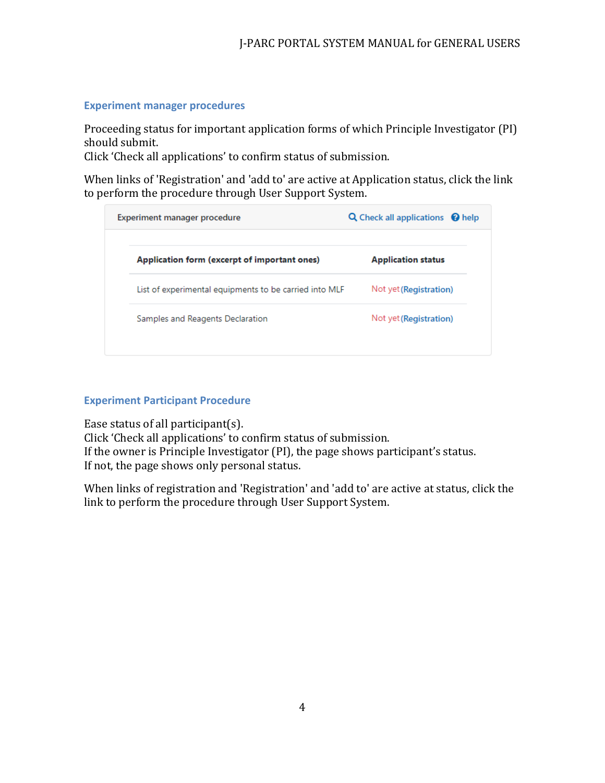#### **Experiment manager procedures**

Proceeding status for important application forms of which Principle Investigator (PI) should submit.

Click 'Check all applications' to confirm status of submission.

When links of 'Registration' and 'add to' are active at Application status, click the link to perform the procedure through User Support System.

| Experiment manager procedure                           | <b>Q</b> Check all applications <b>@</b> help |
|--------------------------------------------------------|-----------------------------------------------|
| Application form (excerpt of important ones)           | <b>Application status</b>                     |
| List of experimental equipments to be carried into MLF | Not yet (Registration)                        |
| Samples and Reagents Declaration                       | Not yet (Registration)                        |

### **Experiment Participant Procedure**

Ease status of all participant(s).

Click 'Check all applications' to confirm status of submission. If the owner is Principle Investigator (PI), the page shows participant's status. If not, the page shows only personal status.

When links of registration and 'Registration' and 'add to' are active at status, click the link to perform the procedure through User Support System.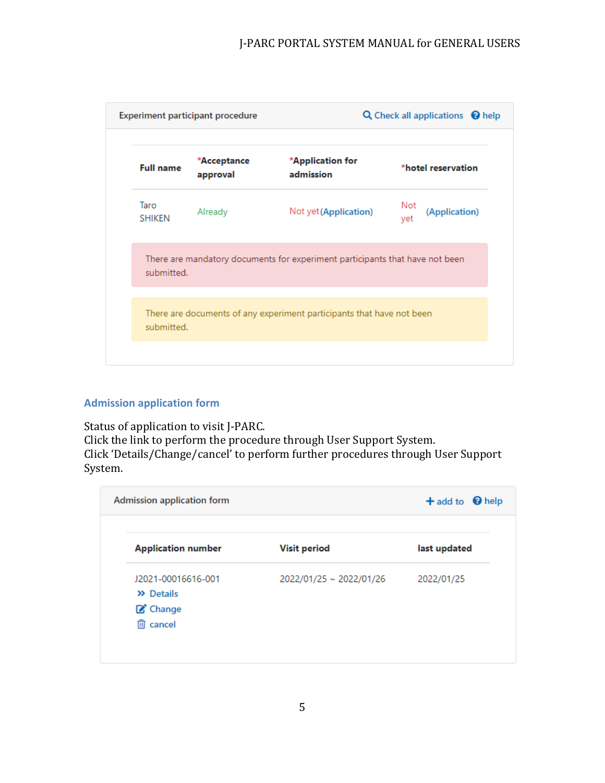

#### **Admission application form**

Status of application to visit J-PARC. Click the link to perform the procedure through User Support System. Click 'Details/Change/cancel' to perform further procedures through User Support System.

| <b>Admission application form</b> |                         | $+$ add to $\bigcirc$ help |
|-----------------------------------|-------------------------|----------------------------|
| <b>Application number</b>         | <b>Visit period</b>     | last updated               |
| J2021-00016616-001                | 2022/01/25 ~ 2022/01/26 | 2022/01/25                 |
| >> Details                        |                         |                            |
| C Change                          |                         |                            |
| <b>mm</b> cancel                  |                         |                            |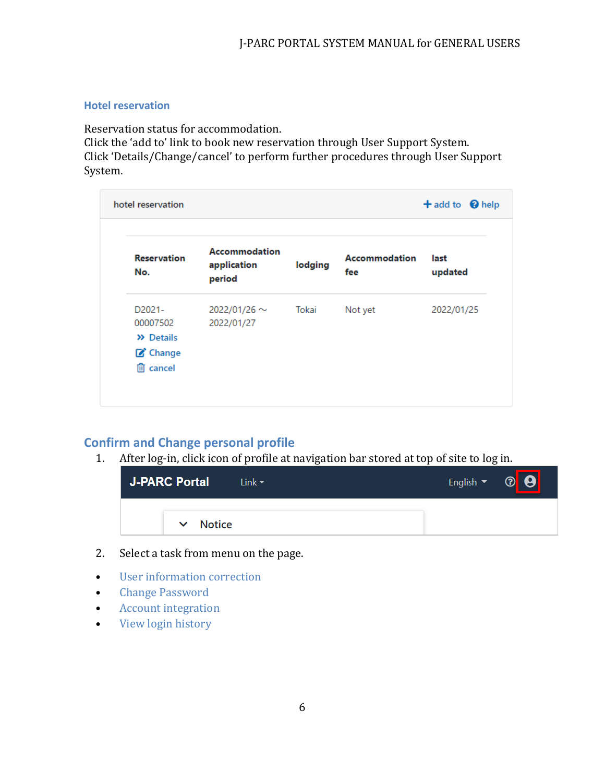#### **Hotel reservation**

Reservation status for accommodation.

Click the 'add to' link to book new reservation through User Support System. Click 'Details/Change/cancel' to perform further procedures through User Support System.

| <b>Reservation</b><br>No.                                                           | <b>Accommodation</b><br>application<br>period | lodging | <b>Accommodation</b><br>fee | last<br>updated |
|-------------------------------------------------------------------------------------|-----------------------------------------------|---------|-----------------------------|-----------------|
| D <sub>2021</sub> -<br>00007502<br>$\lambda$ Details<br>C Change<br><b>血</b> cancel | 2022/01/26 $\sim$<br>2022/01/27               | Tokai   | Not yet                     | 2022/01/25      |

# **Confirm and Change personal profile**

1. After log-in, click icon of profile at navigation bar stored at top of site to log in.



- 2. Select a task from menu on the page.
- User information correction
- Change Password
- Account integration
- View login history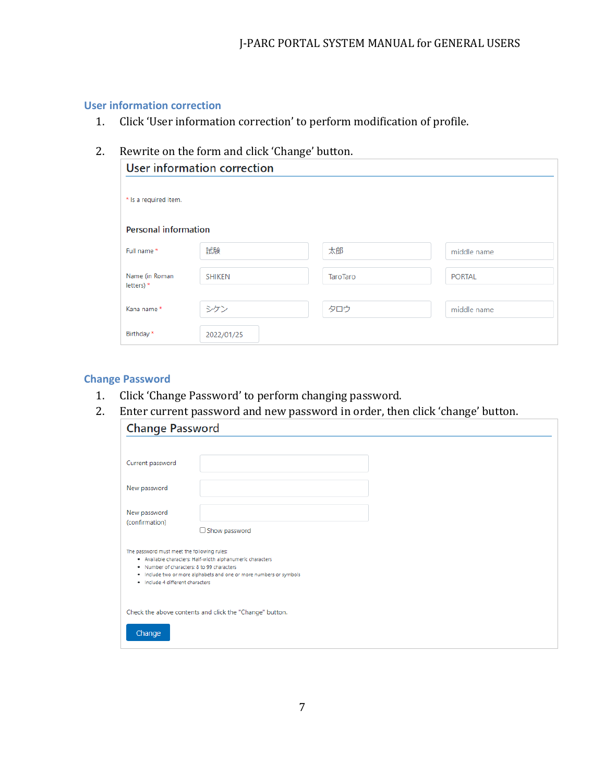#### **User information correction**

1. Click 'User information correction' to perform modification of profile.

# 2. Rewrite on the form and click 'Change' button.

|                                | User information correction |                 |               |
|--------------------------------|-----------------------------|-----------------|---------------|
| * Is a required item.          |                             |                 |               |
| <b>Personal information</b>    |                             |                 |               |
| Full name *                    | 試験                          | 太郎              | middle name   |
| Name (in Roman<br>letters) $*$ | <b>SHIKEN</b>               | <b>TaroTaro</b> | <b>PORTAL</b> |
| Kana name*                     | シケン                         | タロウ             | middle name   |
| Birthday *                     | 2022/01/25                  |                 |               |

#### **Change Password**

- 1. Click 'Change Password' to perform changing password.
- 2. Enter current password and new password in order, then click 'change' button.

| <b>Change Password</b>                                                                                                        |                                                                                                                                  |
|-------------------------------------------------------------------------------------------------------------------------------|----------------------------------------------------------------------------------------------------------------------------------|
|                                                                                                                               |                                                                                                                                  |
| Current password                                                                                                              |                                                                                                                                  |
| New password                                                                                                                  |                                                                                                                                  |
| New password<br>(confirmation)                                                                                                | $\Box$ Show password                                                                                                             |
| The password must meet the following rules:<br>. Number of characters: 8 to 99 characters<br>· Include 4 different characters | . Available characters: Half-width alphanumeric characters<br>. Include two or more alphabets and one or more numbers or symbols |
| Change                                                                                                                        | Check the above contents and click the "Change" button.                                                                          |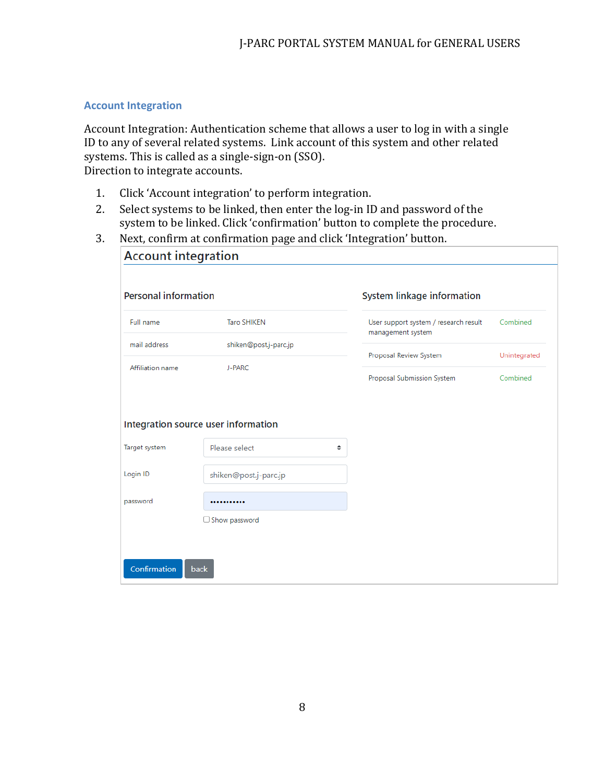#### **Account Integration**

Account Integration: Authentication scheme that allows a user to log in with a single ID to any of several related systems. Link account of this system and other related systems. This is called as a single-sign-on (SSO). Direction to integrate accounts.

- 1. Click 'Account integration' to perform integration.
- 2. Select systems to be linked, then enter the log-in ID and password of the system to be linked. Click 'confirmation' button to complete the procedure.
- 3. Next, confirm at confirmation page and click 'Integration' button.

| <b>Personal information</b>           |                                     | System linkage information                                 |              |
|---------------------------------------|-------------------------------------|------------------------------------------------------------|--------------|
| Full name                             | <b>Taro SHIKEN</b>                  | User support system / research result<br>management system | Combined     |
| mail address                          | shiken@post.j-parc.jp               | Proposal Review System                                     | Unintegrated |
| Affiliation name                      | J-PARC                              |                                                            |              |
|                                       |                                     | Proposal Submission System                                 | Combined     |
|                                       |                                     |                                                            |              |
|                                       | Integration source user information |                                                            |              |
|                                       | Please select                       | ÷                                                          |              |
|                                       | shiken@post.j-parc.jp               |                                                            |              |
| Target system<br>Login ID<br>password |                                     |                                                            |              |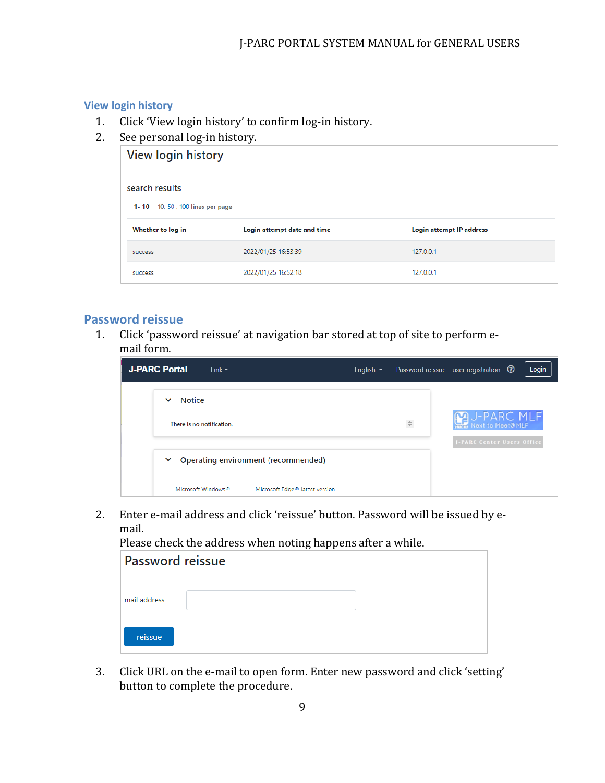# **View login history**

- 1. Click 'View login history' to confirm log-in history.
- 2. See personal log-in history.

| View login history              |                             |                          |  |  |
|---------------------------------|-----------------------------|--------------------------|--|--|
|                                 |                             |                          |  |  |
| search results                  |                             |                          |  |  |
| 1-10 10, 50, 100 lines per page |                             |                          |  |  |
| Whether to log in               | Login attempt date and time | Login attempt IP address |  |  |
| <b>SUCCESS</b>                  | 2022/01/25 16:53:39         | 127.0.0.1                |  |  |
|                                 |                             |                          |  |  |

### **Password reissue**

1. Click 'password reissue' at navigation bar stored at top of site to perform email form.

| <b>J-PARC Portal</b><br>Link $\blacktriangledown$ |                                            | English $\blacktriangleright$ |              | Login<br>Password reissue user registration <sup>3</sup> |
|---------------------------------------------------|--------------------------------------------|-------------------------------|--------------|----------------------------------------------------------|
| <b>Notice</b><br>$\checkmark$                     |                                            |                               |              |                                                          |
| There is no notification.                         |                                            |                               | $\hat{\div}$ | <b>MU-PARC MLF</b>                                       |
| $\checkmark$                                      | Operating environment (recommended)        |                               |              | <b>J-PARC Center Users Office</b>                        |
| Microsoft Windows®                                | Microsoft Edge <sup>®</sup> latest version |                               |              |                                                          |

2. Enter e-mail address and click 'reissue' button. Password will be issued by email.

Please check the address when noting happens after a while.

| <b>Password reissue</b> |  |  |  |  |  |
|-------------------------|--|--|--|--|--|
| mail address            |  |  |  |  |  |
| reissue                 |  |  |  |  |  |

3. Click URL on the e-mail to open form. Enter new password and click 'setting' button to complete the procedure.